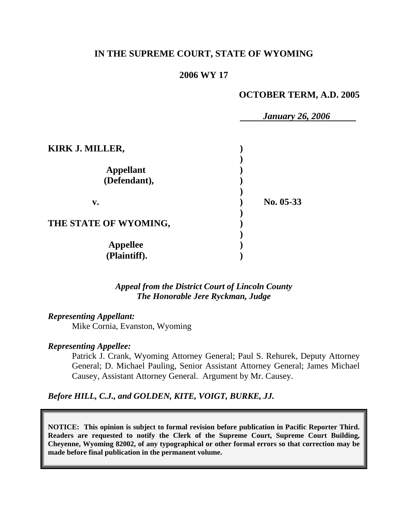#### **IN THE SUPREME COURT, STATE OF WYOMING**

#### **2006 WY 17**

#### **OCTOBER TERM, A.D. 2005**

|                                  | <b>January 26, 2006</b> |  |
|----------------------------------|-------------------------|--|
| <b>KIRK J. MILLER,</b>           |                         |  |
| <b>Appellant</b><br>(Defendant), |                         |  |
| $\mathbf{v}$ .                   | No. 05-33               |  |
| THE STATE OF WYOMING,            |                         |  |
| <b>Appellee</b><br>(Plaintiff).  |                         |  |

*Appeal from the District Court of Lincoln County The Honorable Jere Ryckman, Judge* 

#### *Representing Appellant:*

Mike Cornia, Evanston, Wyoming

#### *Representing Appellee:*

Patrick J. Crank, Wyoming Attorney General; Paul S. Rehurek, Deputy Attorney General; D. Michael Pauling, Senior Assistant Attorney General; James Michael Causey, Assistant Attorney General. Argument by Mr. Causey.

*Before HILL, C.J., and GOLDEN, KITE, VOIGT, BURKE, JJ.* 

**NOTICE: This opinion is subject to formal revision before publication in Pacific Reporter Third. Readers are requested to notify the Clerk of the Supreme Court, Supreme Court Building, Cheyenne, Wyoming 82002, of any typographical or other formal errors so that correction may be made before final publication in the permanent volume.**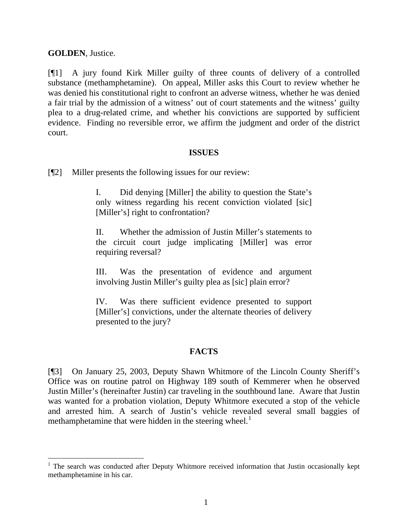**GOLDEN**, Justice.

[¶1] A jury found Kirk Miller guilty of three counts of delivery of a controlled substance (methamphetamine). On appeal, Miller asks this Court to review whether he was denied his constitutional right to confront an adverse witness, whether he was denied a fair trial by the admission of a witness' out of court statements and the witness' guilty plea to a drug-related crime, and whether his convictions are supported by sufficient evidence. Finding no reversible error, we affirm the judgment and order of the district court.

#### **ISSUES**

[¶2] Miller presents the following issues for our review:

I. Did denying [Miller] the ability to question the State's only witness regarding his recent conviction violated [sic] [Miller's] right to confrontation?

II. Whether the admission of Justin Miller's statements to the circuit court judge implicating [Miller] was error requiring reversal?

III. Was the presentation of evidence and argument involving Justin Miller's guilty plea as [sic] plain error?

IV. Was there sufficient evidence presented to support [Miller's] convictions, under the alternate theories of delivery presented to the jury?

## **FACTS**

[¶3] On January 25, 2003, Deputy Shawn Whitmore of the Lincoln County Sheriff's Office was on routine patrol on Highway 189 south of Kemmerer when he observed Justin Miller's (hereinafter Justin) car traveling in the southbound lane. Aware that Justin was wanted for a probation violation, Deputy Whitmore executed a stop of the vehicle and arrested him. A search of Justin's vehicle revealed several small baggies of methamphetamine that were hidden in the steering wheel. $<sup>1</sup>$  $<sup>1</sup>$  $<sup>1</sup>$ </sup>

<span id="page-1-0"></span><sup>&</sup>lt;sup>1</sup> The search was conducted after Deputy Whitmore received information that Justin occasionally kept methamphetamine in his car.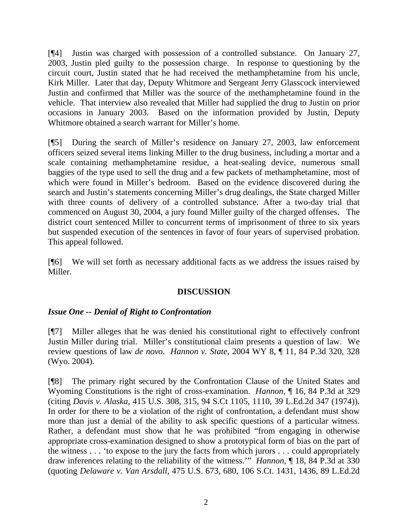[¶4] Justin was charged with possession of a controlled substance. On January 27, 2003, Justin pled guilty to the possession charge. In response to questioning by the circuit court, Justin stated that he had received the methamphetamine from his uncle, Kirk Miller. Later that day, Deputy Whitmore and Sergeant Jerry Glasscock interviewed Justin and confirmed that Miller was the source of the methamphetamine found in the vehicle. That interview also revealed that Miller had supplied the drug to Justin on prior occasions in January 2003. Based on the information provided by Justin, Deputy Whitmore obtained a search warrant for Miller's home.

[¶5] During the search of Miller's residence on January 27, 2003, law enforcement officers seized several items linking Miller to the drug business, including a mortar and a scale containing methamphetamine residue, a heat-sealing device, numerous small baggies of the type used to sell the drug and a few packets of methamphetamine, most of which were found in Miller's bedroom. Based on the evidence discovered during the search and Justin's statements concerning Miller's drug dealings, the State charged Miller with three counts of delivery of a controlled substance. After a two-day trial that commenced on August 30, 2004, a jury found Miller guilty of the charged offenses. The district court sentenced Miller to concurrent terms of imprisonment of three to six years but suspended execution of the sentences in favor of four years of supervised probation. This appeal followed.

[¶6] We will set forth as necessary additional facts as we address the issues raised by Miller.

## **DISCUSSION**

## *Issue One -- Denial of Right to Confrontation*

[¶7] Miller alleges that he was denied his constitutional right to effectively confront Justin Miller during trial. Miller's constitutional claim presents a question of law. We review questions of law *de novo*. *Hannon v. State*, 2004 WY 8, ¶ 11, 84 P.3d 320, 328 (Wyo. 2004).

[¶8] The primary right secured by the Confrontation Clause of the United States and Wyoming Constitutions is the right of cross-examination. *Hannon*, ¶ 16, 84 P.3d at 329 (citing *Davis v. Alaska*, 415 U.S. 308, 315, 94 S.Ct 1105, 1110, 39 L.Ed.2d 347 (1974)). In order for there to be a violation of the right of confrontation, a defendant must show more than just a denial of the ability to ask specific questions of a particular witness. Rather, a defendant must show that he was prohibited "from engaging in otherwise appropriate cross-examination designed to show a prototypical form of bias on the part of the witness . . . 'to expose to the jury the facts from which jurors . . . could appropriately draw inferences relating to the reliability of the witness.'" *Hannon*, ¶ 18, 84 P.3d at 330 (quoting *Delaware v. Van Arsdall*, 475 U.S. 673, 680, 106 S.Ct. 1431, 1436, 89 L.Ed.2d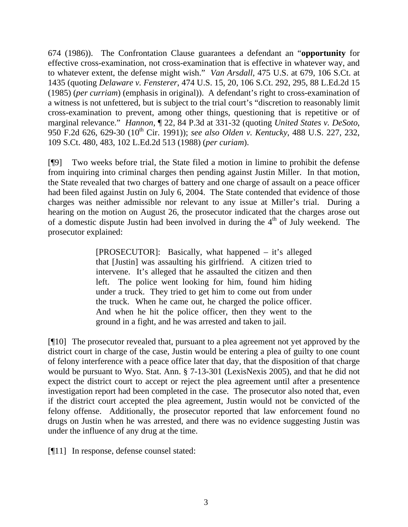674 (1986)). The Confrontation Clause guarantees a defendant an "**opportunity** for effective cross-examination, not cross-examination that is effective in whatever way, and to whatever extent, the defense might wish." *Van Arsdall*, 475 U.S. at 679, 106 S.Ct. at 1435 (quoting *Delaware v. Fensterer*, 474 U.S. 15, 20, 106 S.Ct. 292, 295, 88 L.Ed.2d 15 (1985) (*per curriam*) (emphasis in original)). A defendant's right to cross-examination of a witness is not unfettered, but is subject to the trial court's "discretion to reasonably limit cross-examination to prevent, among other things, questioning that is repetitive or of marginal relevance." *Hannon*, ¶ 22, 84 P.3d at 331-32 (quoting *United States v. DeSoto*, 950 F.2d 626, 629-30 (10th Cir. 1991)); *see also Olden v. Kentucky*, 488 U.S. 227, 232, 109 S.Ct. 480, 483, 102 L.Ed.2d 513 (1988) (*per curiam*).

[¶9] Two weeks before trial, the State filed a motion in limine to prohibit the defense from inquiring into criminal charges then pending against Justin Miller. In that motion, the State revealed that two charges of battery and one charge of assault on a peace officer had been filed against Justin on July 6, 2004. The State contended that evidence of those charges was neither admissible nor relevant to any issue at Miller's trial. During a hearing on the motion on August 26, the prosecutor indicated that the charges arose out of a domestic dispute Justin had been involved in during the  $4<sup>th</sup>$  of July weekend. The prosecutor explained:

> [PROSECUTOR]: Basically, what happened – it's alleged that [Justin] was assaulting his girlfriend. A citizen tried to intervene. It's alleged that he assaulted the citizen and then left. The police went looking for him, found him hiding under a truck. They tried to get him to come out from under the truck. When he came out, he charged the police officer. And when he hit the police officer, then they went to the ground in a fight, and he was arrested and taken to jail.

[¶10] The prosecutor revealed that, pursuant to a plea agreement not yet approved by the district court in charge of the case, Justin would be entering a plea of guilty to one count of felony interference with a peace office later that day, that the disposition of that charge would be pursuant to Wyo. Stat. Ann. § 7-13-301 (LexisNexis 2005), and that he did not expect the district court to accept or reject the plea agreement until after a presentence investigation report had been completed in the case. The prosecutor also noted that, even if the district court accepted the plea agreement, Justin would not be convicted of the felony offense. Additionally, the prosecutor reported that law enforcement found no drugs on Justin when he was arrested, and there was no evidence suggesting Justin was under the influence of any drug at the time.

[¶11] In response, defense counsel stated: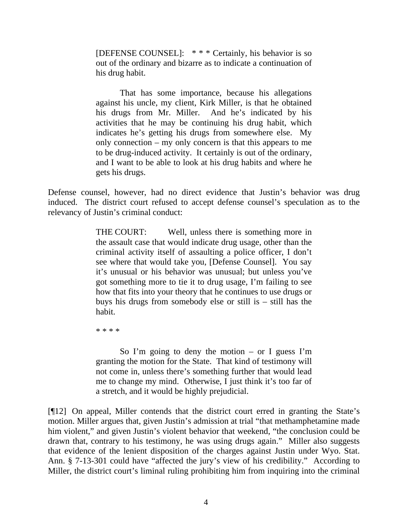[DEFENSE COUNSEL]: \* \* \* Certainly, his behavior is so out of the ordinary and bizarre as to indicate a continuation of his drug habit.

That has some importance, because his allegations against his uncle, my client, Kirk Miller, is that he obtained his drugs from Mr. Miller. And he's indicated by his activities that he may be continuing his drug habit, which indicates he's getting his drugs from somewhere else. My only connection – my only concern is that this appears to me to be drug-induced activity. It certainly is out of the ordinary, and I want to be able to look at his drug habits and where he gets his drugs.

Defense counsel, however, had no direct evidence that Justin's behavior was drug induced. The district court refused to accept defense counsel's speculation as to the relevancy of Justin's criminal conduct:

> THE COURT: Well, unless there is something more in the assault case that would indicate drug usage, other than the criminal activity itself of assaulting a police officer, I don't see where that would take you, [Defense Counsel]. You say it's unusual or his behavior was unusual; but unless you've got something more to tie it to drug usage, I'm failing to see how that fits into your theory that he continues to use drugs or buys his drugs from somebody else or still is – still has the habit.

\* \* \* \*

So I'm going to deny the motion  $-$  or I guess I'm granting the motion for the State. That kind of testimony will not come in, unless there's something further that would lead me to change my mind. Otherwise, I just think it's too far of a stretch, and it would be highly prejudicial.

[¶12] On appeal, Miller contends that the district court erred in granting the State's motion. Miller argues that, given Justin's admission at trial "that methamphetamine made him violent," and given Justin's violent behavior that weekend, "the conclusion could be drawn that, contrary to his testimony, he was using drugs again." Miller also suggests that evidence of the lenient disposition of the charges against Justin under Wyo. Stat. Ann. § 7-13-301 could have "affected the jury's view of his credibility." According to Miller, the district court's liminal ruling prohibiting him from inquiring into the criminal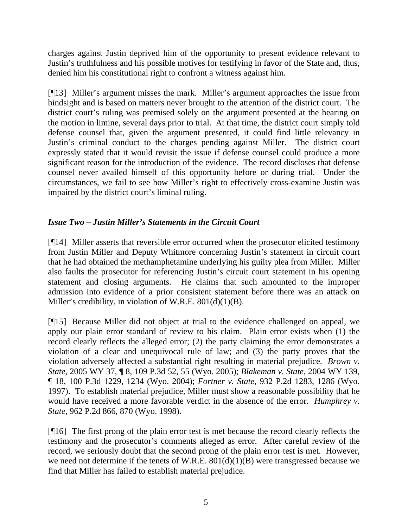charges against Justin deprived him of the opportunity to present evidence relevant to Justin's truthfulness and his possible motives for testifying in favor of the State and, thus, denied him his constitutional right to confront a witness against him.

[¶13] Miller's argument misses the mark. Miller's argument approaches the issue from hindsight and is based on matters never brought to the attention of the district court. The district court's ruling was premised solely on the argument presented at the hearing on the motion in limine, several days prior to trial. At that time, the district court simply told defense counsel that, given the argument presented, it could find little relevancy in Justin's criminal conduct to the charges pending against Miller. The district court expressly stated that it would revisit the issue if defense counsel could produce a more significant reason for the introduction of the evidence. The record discloses that defense counsel never availed himself of this opportunity before or during trial. Under the circumstances, we fail to see how Miller's right to effectively cross-examine Justin was impaired by the district court's liminal ruling.

# *Issue Two – Justin Miller's Statements in the Circuit Court*

[¶14] Miller asserts that reversible error occurred when the prosecutor elicited testimony from Justin Miller and Deputy Whitmore concerning Justin's statement in circuit court that he had obtained the methamphetamine underlying his guilty plea from Miller. Miller also faults the prosecutor for referencing Justin's circuit court statement in his opening statement and closing arguments. He claims that such amounted to the improper admission into evidence of a prior consistent statement before there was an attack on Miller's credibility, in violation of W.R.E. 801(d)(1)(B).

[¶15] Because Miller did not object at trial to the evidence challenged on appeal, we apply our plain error standard of review to his claim. Plain error exists when (1) the record clearly reflects the alleged error; (2) the party claiming the error demonstrates a violation of a clear and unequivocal rule of law; and (3) the party proves that the violation adversely affected a substantial right resulting in material prejudice. *Brown v. State*, 2005 WY 37, ¶ 8, 109 P.3d 52, 55 (Wyo. 2005); *Blakeman v. State*, 2004 WY 139, ¶ 18, 100 P.3d 1229, 1234 (Wyo. 2004); *Fortner v. State*, 932 P.2d 1283, 1286 (Wyo. 1997). To establish material prejudice, Miller must show a reasonable possibility that he would have received a more favorable verdict in the absence of the error. *Humphrey v. State*, 962 P.2d 866, 870 (Wyo. 1998).

[¶16] The first prong of the plain error test is met because the record clearly reflects the testimony and the prosecutor's comments alleged as error. After careful review of the record, we seriously doubt that the second prong of the plain error test is met. However, we need not determine if the tenets of W.R.E.  $801(d)(1)(B)$  were transgressed because we find that Miller has failed to establish material prejudice.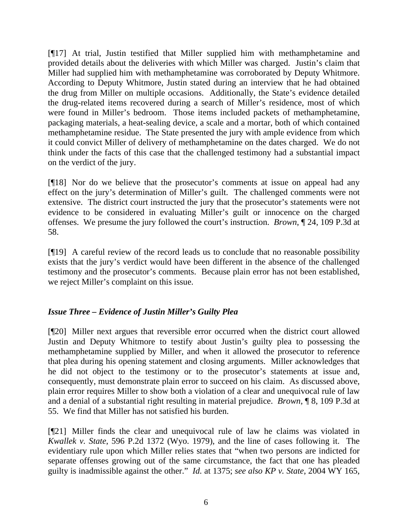[¶17] At trial, Justin testified that Miller supplied him with methamphetamine and provided details about the deliveries with which Miller was charged. Justin's claim that Miller had supplied him with methamphetamine was corroborated by Deputy Whitmore. According to Deputy Whitmore, Justin stated during an interview that he had obtained the drug from Miller on multiple occasions. Additionally, the State's evidence detailed the drug-related items recovered during a search of Miller's residence, most of which were found in Miller's bedroom. Those items included packets of methamphetamine, packaging materials, a heat-sealing device, a scale and a mortar, both of which contained methamphetamine residue. The State presented the jury with ample evidence from which it could convict Miller of delivery of methamphetamine on the dates charged. We do not think under the facts of this case that the challenged testimony had a substantial impact on the verdict of the jury.

[¶18] Nor do we believe that the prosecutor's comments at issue on appeal had any effect on the jury's determination of Miller's guilt. The challenged comments were not extensive. The district court instructed the jury that the prosecutor's statements were not evidence to be considered in evaluating Miller's guilt or innocence on the charged offenses. We presume the jury followed the court's instruction. *Brown*, ¶ 24, 109 P.3d at 58.

[¶19] A careful review of the record leads us to conclude that no reasonable possibility exists that the jury's verdict would have been different in the absence of the challenged testimony and the prosecutor's comments. Because plain error has not been established, we reject Miller's complaint on this issue.

## *Issue Three – Evidence of Justin Miller's Guilty Plea*

[¶20] Miller next argues that reversible error occurred when the district court allowed Justin and Deputy Whitmore to testify about Justin's guilty plea to possessing the methamphetamine supplied by Miller, and when it allowed the prosecutor to reference that plea during his opening statement and closing arguments. Miller acknowledges that he did not object to the testimony or to the prosecutor's statements at issue and, consequently, must demonstrate plain error to succeed on his claim. As discussed above, plain error requires Miller to show both a violation of a clear and unequivocal rule of law and a denial of a substantial right resulting in material prejudice. *Brown*, ¶ 8, 109 P.3d at 55. We find that Miller has not satisfied his burden.

[¶21] Miller finds the clear and unequivocal rule of law he claims was violated in *Kwallek v. State*, 596 P.2d 1372 (Wyo. 1979), and the line of cases following it. The evidentiary rule upon which Miller relies states that "when two persons are indicted for separate offenses growing out of the same circumstance, the fact that one has pleaded guilty is inadmissible against the other." *Id.* at 1375; *see also KP v. State*, 2004 WY 165,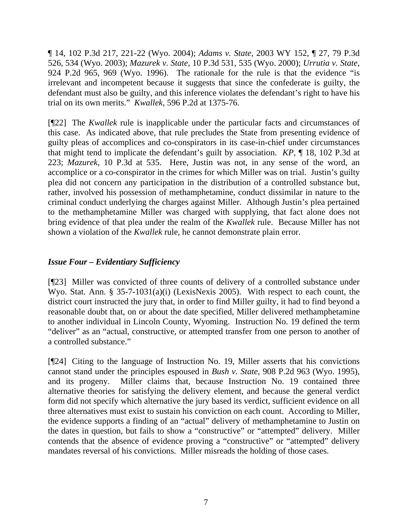¶ 14, 102 P.3d 217, 221-22 (Wyo. 2004); *Adams v. State*, 2003 WY 152, ¶ 27, 79 P.3d 526, 534 (Wyo. 2003); *Mazurek v. State*, 10 P.3d 531, 535 (Wyo. 2000); *Urrutia v. State*, 924 P.2d 965, 969 (Wyo. 1996). The rationale for the rule is that the evidence "is irrelevant and incompetent because it suggests that since the confederate is guilty, the defendant must also be guilty, and this inference violates the defendant's right to have his trial on its own merits." *Kwallek*, 596 P.2d at 1375-76.

[¶22] The *Kwallek* rule is inapplicable under the particular facts and circumstances of this case. As indicated above, that rule precludes the State from presenting evidence of guilty pleas of accomplices and co-conspirators in its case-in-chief under circumstances that might tend to implicate the defendant's guilt by association. *KP*, ¶ 18, 102 P.3d at 223; *Mazurek*, 10 P.3d at 535. Here, Justin was not, in any sense of the word, an accomplice or a co-conspirator in the crimes for which Miller was on trial. Justin's guilty plea did not concern any participation in the distribution of a controlled substance but, rather, involved his possession of methamphetamine, conduct dissimilar in nature to the criminal conduct underlying the charges against Miller. Although Justin's plea pertained to the methamphetamine Miller was charged with supplying, that fact alone does not bring evidence of that plea under the realm of the *Kwallek* rule. Because Miller has not shown a violation of the *Kwallek* rule, he cannot demonstrate plain error.

# *Issue Four – Evidentiary Sufficiency*

[¶23] Miller was convicted of three counts of delivery of a controlled substance under Wyo. Stat. Ann. § 35-7-1031(a)(i) (LexisNexis 2005). With respect to each count, the district court instructed the jury that, in order to find Miller guilty, it had to find beyond a reasonable doubt that, on or about the date specified, Miller delivered methamphetamine to another individual in Lincoln County, Wyoming. Instruction No. 19 defined the term "deliver" as an "actual, constructive, or attempted transfer from one person to another of a controlled substance."

[¶24] Citing to the language of Instruction No. 19, Miller asserts that his convictions cannot stand under the principles espoused in *Bush v. State*, 908 P.2d 963 (Wyo. 1995), and its progeny. Miller claims that, because Instruction No. 19 contained three alternative theories for satisfying the delivery element, and because the general verdict form did not specify which alternative the jury based its verdict, sufficient evidence on all three alternatives must exist to sustain his conviction on each count. According to Miller, the evidence supports a finding of an "actual" delivery of methamphetamine to Justin on the dates in question, but fails to show a "constructive" or "attempted" delivery. Miller contends that the absence of evidence proving a "constructive" or "attempted" delivery mandates reversal of his convictions. Miller misreads the holding of those cases.